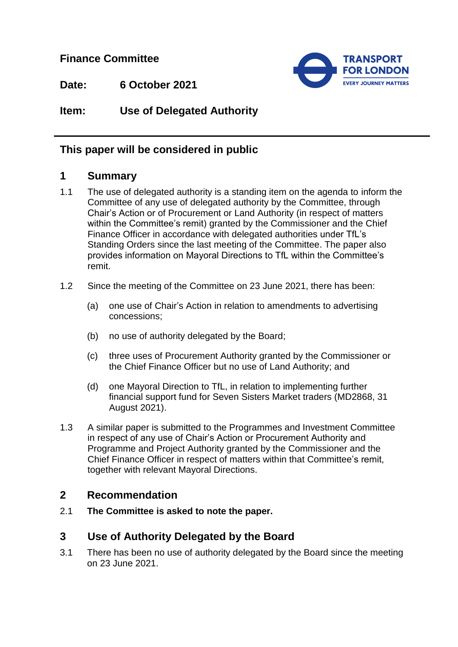**Finance Committee**



**Date: 6 October 2021**

**Item: Use of Delegated Authority**

# **This paper will be considered in public**

### **1 Summary**

- 1.1 The use of delegated authority is a standing item on the agenda to inform the Committee of any use of delegated authority by the Committee, through Chair's Action or of Procurement or Land Authority (in respect of matters within the Committee's remit) granted by the Commissioner and the Chief Finance Officer in accordance with delegated authorities under TfL's Standing Orders since the last meeting of the Committee. The paper also provides information on Mayoral Directions to TfL within the Committee's remit.
- 1.2 Since the meeting of the Committee on 23 June 2021, there has been:
	- (a) one use of Chair's Action in relation to amendments to advertising concessions;
	- (b) no use of authority delegated by the Board;
	- (c) three uses of Procurement Authority granted by the Commissioner or the Chief Finance Officer but no use of Land Authority; and
	- (d) one Mayoral Direction to TfL, in relation to implementing further financial support fund for Seven Sisters Market traders (MD2868, 31 August 2021).
- 1.3 A similar paper is submitted to the Programmes and Investment Committee in respect of any use of Chair's Action or Procurement Authority and Programme and Project Authority granted by the Commissioner and the Chief Finance Officer in respect of matters within that Committee's remit, together with relevant Mayoral Directions.

## **2 Recommendation**

2.1 **The Committee is asked to note the paper.** 

## **3 Use of Authority Delegated by the Board**

3.1 There has been no use of authority delegated by the Board since the meeting on 23 June 2021.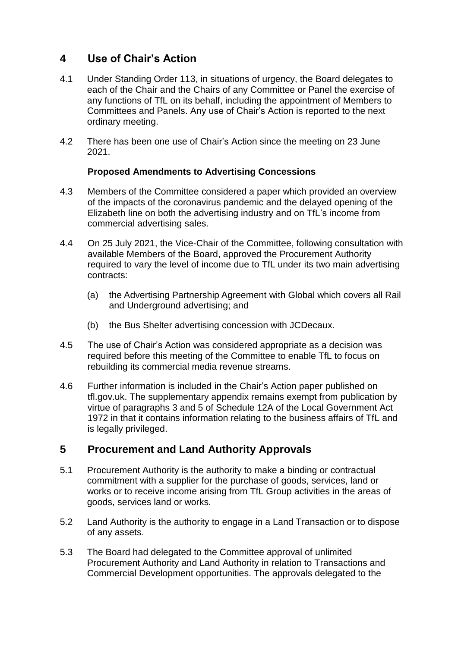# **4 Use of Chair's Action**

- 4.1 Under Standing Order 113, in situations of urgency, the Board delegates to each of the Chair and the Chairs of any Committee or Panel the exercise of any functions of TfL on its behalf, including the appointment of Members to Committees and Panels. Any use of Chair's Action is reported to the next ordinary meeting.
- 4.2 There has been one use of Chair's Action since the meeting on 23 June 2021.

#### **Proposed Amendments to Advertising Concessions**

- 4.3 Members of the Committee considered a paper which provided an overview of the impacts of the coronavirus pandemic and the delayed opening of the Elizabeth line on both the advertising industry and on TfL's income from commercial advertising sales.
- 4.4 On 25 July 2021, the Vice-Chair of the Committee, following consultation with available Members of the Board, approved the Procurement Authority required to vary the level of income due to TfL under its two main advertising contracts:
	- (a) the Advertising Partnership Agreement with Global which covers all Rail and Underground advertising; and
	- (b) the Bus Shelter advertising concession with JCDecaux.
- 4.5 The use of Chair's Action was considered appropriate as a decision was required before this meeting of the Committee to enable TfL to focus on rebuilding its commercial media revenue streams.
- 4.6 Further information is included in the Chair's Action paper published on tfl.gov.uk. The supplementary appendix remains exempt from publication by virtue of paragraphs 3 and 5 of Schedule 12A of the Local Government Act 1972 in that it contains information relating to the business affairs of TfL and is legally privileged.

## **5 Procurement and Land Authority Approvals**

- 5.1 Procurement Authority is the authority to make a binding or contractual commitment with a supplier for the purchase of goods, services, land or works or to receive income arising from TfL Group activities in the areas of goods, services land or works.
- 5.2 Land Authority is the authority to engage in a Land Transaction or to dispose of any assets.
- 5.3 The Board had delegated to the Committee approval of unlimited Procurement Authority and Land Authority in relation to Transactions and Commercial Development opportunities. The approvals delegated to the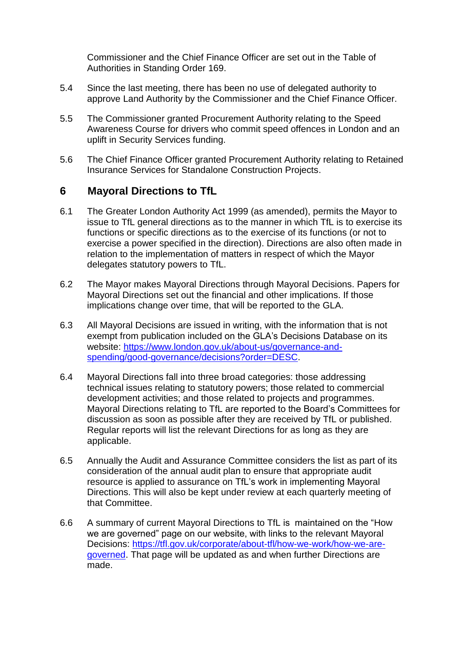Commissioner and the Chief Finance Officer are set out in the Table of Authorities in Standing Order 169.

- 5.4 Since the last meeting, there has been no use of delegated authority to approve Land Authority by the Commissioner and the Chief Finance Officer.
- 5.5 The Commissioner granted Procurement Authority relating to the Speed Awareness Course for drivers who commit speed offences in London and an uplift in Security Services funding.
- 5.6 The Chief Finance Officer granted Procurement Authority relating to Retained Insurance Services for Standalone Construction Projects.

#### **6 Mayoral Directions to TfL**

- 6.1 The Greater London Authority Act 1999 (as amended), permits the Mayor to issue to TfL general directions as to the manner in which TfL is to exercise its functions or specific directions as to the exercise of its functions (or not to exercise a power specified in the direction). Directions are also often made in relation to the implementation of matters in respect of which the Mayor delegates statutory powers to TfL.
- 6.2 The Mayor makes Mayoral Directions through Mayoral Decisions. Papers for Mayoral Directions set out the financial and other implications. If those implications change over time, that will be reported to the GLA.
- 6.3 All Mayoral Decisions are issued in writing, with the information that is not exempt from publication included on the GLA's Decisions Database on its website: [https://www.london.gov.uk/about-us/governance-and](https://www.london.gov.uk/about-us/governance-and-spending/good-governance/decisions?order=DESC)[spending/good-governance/decisions?order=DESC.](https://www.london.gov.uk/about-us/governance-and-spending/good-governance/decisions?order=DESC)
- 6.4 Mayoral Directions fall into three broad categories: those addressing technical issues relating to statutory powers; those related to commercial development activities; and those related to projects and programmes. Mayoral Directions relating to TfL are reported to the Board's Committees for discussion as soon as possible after they are received by TfL or published. Regular reports will list the relevant Directions for as long as they are applicable.
- 6.5 Annually the Audit and Assurance Committee considers the list as part of its consideration of the annual audit plan to ensure that appropriate audit resource is applied to assurance on TfL's work in implementing Mayoral Directions. This will also be kept under review at each quarterly meeting of that Committee.
- 6.6 A summary of current Mayoral Directions to TfL is maintained on the "How we are governed" page on our website, with links to the relevant Mayoral Decisions: [https://tfl.gov.uk/corporate/about-tfl/how-we-work/how-we-are](https://tfl.gov.uk/corporate/about-tfl/how-we-work/how-we-are-governed)[governed.](https://tfl.gov.uk/corporate/about-tfl/how-we-work/how-we-are-governed) That page will be updated as and when further Directions are made.